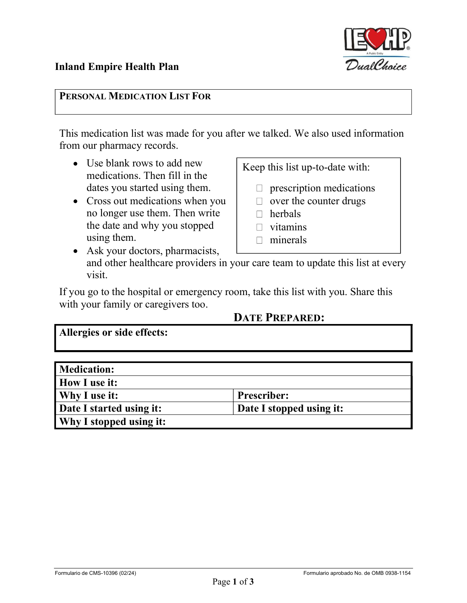PERSONAL MEDICATION LIST FOR<br>This medication list was made for you after we talked. We also used information from our pharmacy records.

- Use blank rows to add new medications. Then fill in the dates you started using them.
- Cross out medications when you no longer use them. Then write the date and why you stopped using them.
- Keep this list up-to-date with:
	- $\Box$  prescription medications
	- $\Box$  over the counter drugs
	- □ herbals
	- $\Box$  vitamins
	- $\Box$  minerals
- Ask your doctors, pharmacists, and other healthcare providers in your care team to update this list at every visit.

If you go to the hospital or emergency room, take this list with you. Share this with your family or caregivers too.

## DATE PREPARED:

Allergies or side effects:

| <b>Medication:</b>       |                          |
|--------------------------|--------------------------|
| How I use it:            |                          |
| Why I use it:            | <b>Prescriber:</b>       |
| Date I started using it: | Date I stopped using it: |
| Why I stopped using it:  |                          |

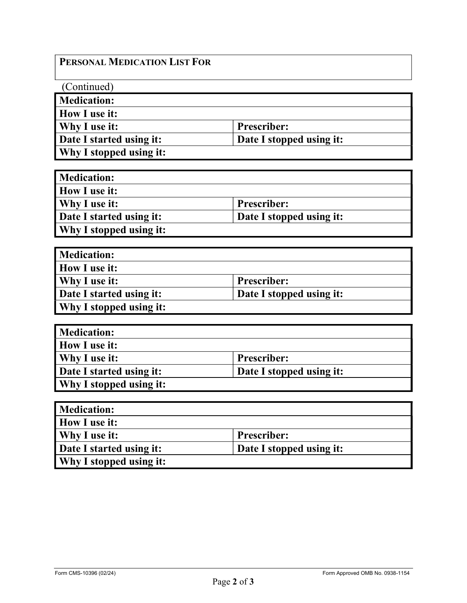## PERSONAL MEDICATION LIST FOR

| (Continued)              |                          |
|--------------------------|--------------------------|
| Medication:              |                          |
| How I use it:            |                          |
| Why I use it:            | <b>Prescriber:</b>       |
| Date I started using it: | Date I stopped using it: |
| Why I stopped using it:  |                          |

| <b>Medication:</b>       |                          |
|--------------------------|--------------------------|
| <b>How I use it:</b>     |                          |
| Why I use it:            | Prescriber:              |
| Date I started using it: | Date I stopped using it: |
| Why I stopped using it:  |                          |

| <b>Medication:</b>             |                          |
|--------------------------------|--------------------------|
| <b>How I use it:</b>           |                          |
| Why I use it:                  | Prescriber:              |
| Date I started using it:       | Date I stopped using it: |
| <b>Why I stopped using it:</b> |                          |

| <b>Medication:</b>             |                          |
|--------------------------------|--------------------------|
| <b>How I use it:</b>           |                          |
| <b>Why I use it:</b>           | <b>Prescriber:</b>       |
| Date I started using it:       | Date I stopped using it: |
| <b>Why I stopped using it:</b> |                          |

| <b>Medication:</b>       |                          |
|--------------------------|--------------------------|
| <b>How I use it:</b>     |                          |
| Why I use it:            | Prescriber:              |
| Date I started using it: | Date I stopped using it: |
| Why I stopped using it:  |                          |